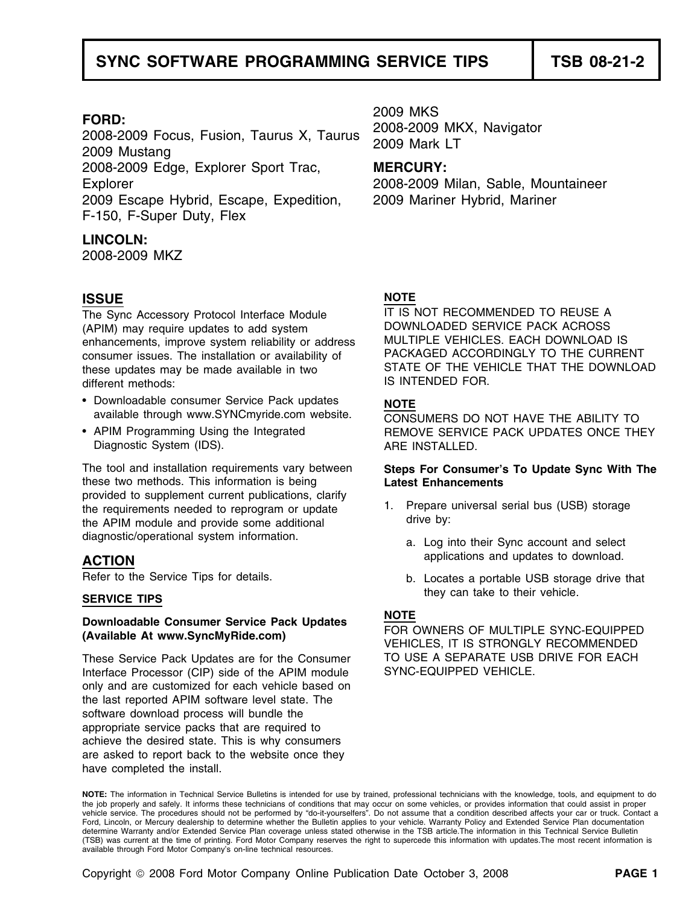2009 MKS **FORD:** 2008-2009 MKX, Navigator 2008-2009 Focus, Fusion, Taurus X, Taurus 2009 Mark LT 2009 Mustang 2008-2009 Edge, Explorer Sport Trac, **MERCURY:** Explorer 2008-2009 Milan, Sable, Mountaineer 2009 Escape Hybrid, Escape, Expedition, 2009 Mariner Hybrid, Mariner F-150, F-Super Duty, Flex

### **LINCOLN:**

2008-2009 MKZ

### **ISSUE NOTE**

The Sync Accessory Protocol Interface Module IT IS NOT RECOMMENDED TO REUSE A<br>(APIM) may require undates to add system DOWNLOADED SERVICE PACK ACROSS (APIM) may require updates to add system distribution of the DOWNLOADED SERVICE PACK ACROSS<br>
enhancements improve system reliability or address devictively MELTIPLE VEHICLES. EACH DOWNLOAD IS enhancements, improve system reliability or address MULTIPLE VEHICLES. EACH DOWNLOAD IS<br>consumer issues. The installation or availability of PACKAGED ACCORDINGLY TO THE CURRENT consumer issues. The installation or availability of PACKAGED ACCORDINGLY TO THE CURRENT<br>these undates may be made available in two STATE OF THE VEHICLE THAT THE DOWNLOAD these updates may be made available in two STATE OF THE VEH<br>different mothods: SUNTENDED FOR different methods:

- Downloadable consumer Service Pack updates **NOTE** available through www.SYNCmyride.com website.  $\overline{CONS}$ UMERS DO NOT HAVE THE ABILITY TO
- APIM Programming Using the Integrated Diagnostic System (IDS). ARE INSTALLED.

these two methods. This information is being **Latest Enhancements**  provided to supplement current publications, clarify<br>
the requirements needed to reprogram or update 1. Prepare universal serial bus (USB) storage<br>
the APIM module and provide some additional drive by: diagnostic/operational system information. a. Log into their Sync account and select

# **NOTE Downloadable Consumer Service Pack Updates NOTE**<br> **(Available At www.SyncMyRide.com)** <sup>VEHICLES</sup> IT IS STRONGLY RECOMMENDED

These Service Pack Updates are for the Consumer TO USE A SEPARATE USB DRIVE FOR EACH<br>Interface Processor (CIP) side of the APIM module SYNC-EQUIPPED VEHICLE. Interface Processor (CIP) side of the APIM module only and are customized for each vehicle based on the last reported APIM software level state. The software download process will bundle the appropriate service packs that are required to achieve the desired state. This is why consumers are asked to report back to the website once they have completed the install.

REMOVE SERVICE PACK UPDATES ONCE THEY

# The tool and installation requirements vary between **Steps For Consumer's To Update Sync With The**

- 
- applications and updates to download. **ACTION**
- Refer to the Service Tips for details. **b. Locates a portable USB storage drive that** they can take to their vehicle. **SERVICE TIPS**

**NOTE:** The information in Technical Service Bulletins is intended for use by trained, professional technicians with the knowledge, tools, and equipment to do the job properly and safely. It informs these technicians of conditions that may occur on some vehicles, or provides information that could assist in proper vehicle service. The procedures should not be performed by "do-it-yourselfers". Do not assume that a condition described affects your car or truck. Contact a Ford, Lincoln, or Mercury dealership to determine whether the Bulletin applies to your vehicle. Warranty Policy and Extended Service Plan documentation determine Warranty and/or Extended Service Plan coverage unless stated otherwise in the TSB article.The information in this Technical Service Bulletin (TSB) was current at the time of printing. Ford Motor Company reserves the right to supercede this information with updates.The most recent information is available through Ford Motor Company's on-line technical resources.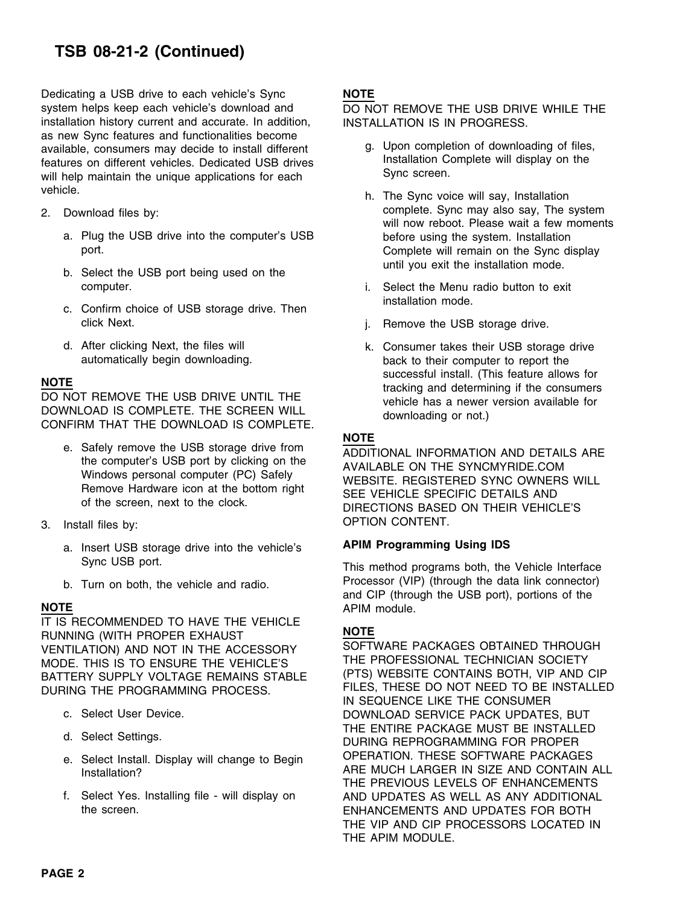Dedicating a USB drive to each vehicle's Sync **NOTE** system helps keep each vehicle's download and DO NOT REMOVE THE USB DRIVE WHILE THE installation history current and accurate. In addition, **INSTALLATION IS IN PROGRESS.** as new Sync features and functionalities become available, consumers may decide to install different g. Upon completion of downloading of files,<br>features on different vehicles. Dedicated USB drives linstallation Complete will display on the will help maintain the unique applications for each Sync screen. vehicle. whicle. h. The Sync voice will say, Installation

- - a. Plug the USB drive into the computer's USB before using the system. Installation
	- b. Select the USB port being used on the computer. i. Select the Menu radio button to exit
	- c. Confirm choice of USB storage drive. Then click Next. **j.** Remove the USB storage drive.
	-

DOWNLOAD IS COMPLETE. THE SCREEN WILL downloading or not.)<br>CONFIRM THAT THE DOWNLOAD IS COMPLETE.

- 
- - **APIM Programming Using IDS** a. Insert USB storage drive into the vehicle's Sync USB port.<br>
	This method programs both, the Vehicle Interface
	-

IT IS RECOMMENDED TO HAVE THE VEHICLE **NOTE**<br>RUNNING (WITH PROPER EXHAUST **NOTE**<br>VENTILATION) AND NOT IN THE ACCESSORY SOFTWARE PACKAGES OBTAINED THROUGH VENTILATION) AND NOT IN THE ACCESSORY MODE. THIS IS TO ENSURE THE VEHICLE'S THE PROFESSIONAL TECHNICIAN SOCIETY BATTERY SUPPLY VOLTAGE REMAINS STABLE (PTS) WEBSITE CONTAINS BOTH, VIP AND CIP

- 
- 
- 
- 

- 
- 2. Download files by: complete. Sync may also say, The system will now reboot. Please wait a few moments port.<br>
Complete will remain on the Sync display<br>
until you exit the installation mode.
	- installation mode.
	-
- d. After clicking Next, the files will k. Consumer takes their USB storage drive<br>automatically begin downloading.<br>back to their computer to report the back to their computer to report the **NOTE**<br> **NOTE** successful install. (This feature allows for<br>
DO NOT REMOVE THE USB DRIVE UNTIL THE vehicle has a newer version available for<br>
DOWNLOAD IS COMPLETE. THE SCREEN WILL<br>  $\frac{d$  downloading ar not \

### **NOTE**

e. Safely remove the USB storage drive from<br>the computer's USB port by clicking on the<br>Windows personal computer (PC) Safely<br>Remove Hardware icon at the bottom right<br>of the screen, next to the clock.<br>DIRECTIONS BASED ON TH OPTION CONTENT. 3. Install files by:

b. Turn on both, the vehicle and radio. Processor (VIP) (through the data link connector) and CIP (through the USB port), portions of the **NOTE** APIM module.

DURING THE PROGRAMMING PROCESS. FILES, THESE DO NOT NEED TO BE INSTALLED IN SEQUENCE LIKE THE CONSUMER c. Select User Device. DOWNLOAD SERVICE PACK UPDATES, BUT d. Select Settings. <br>DURING REPROGRAMMING FOR PROPER e. Select Install. Display will change to Begin OPERATION. THESE SOFTWARE PACKAGES Installation? **ARE MUCH LARGER IN SIZE AND CONTAIN ALL** THE PREVIOUS LEVELS OF ENHANCEMENTS f. Select Yes. Installing file - will display on AND UPDATES AS WELL AS ANY ADDITIONAL the screen. ENHANCEMENTS AND UPDATES FOR BOTH THE VIP AND CIP PROCESSORS LOCATED IN THE APIM MODULE.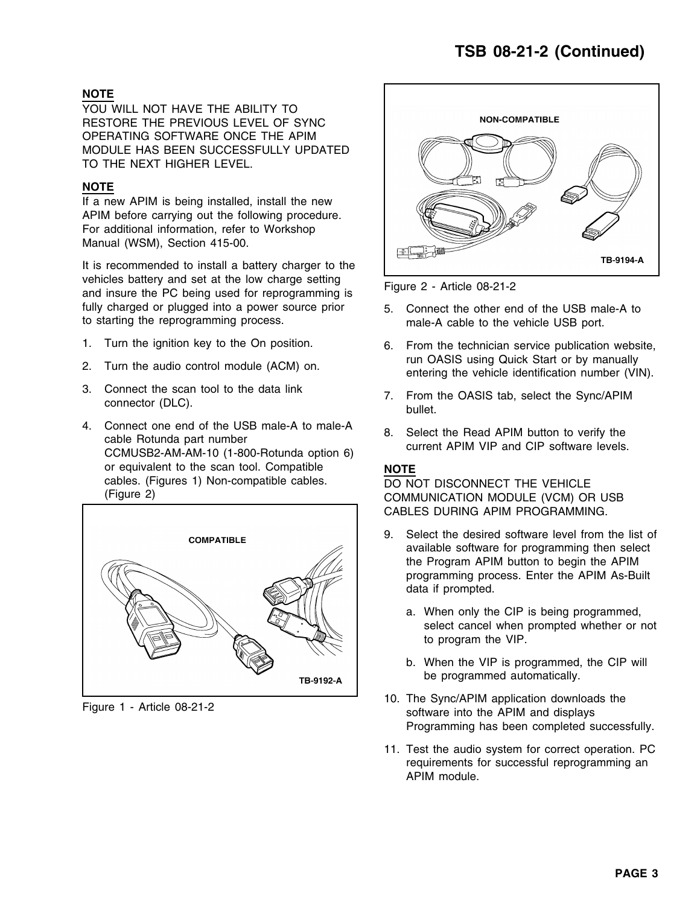### **NOTE**

YOU WILL NOT HAVE THE ABILITY TO RESTORE THE PREVIOUS LEVEL OF SYNC OPERATING SOFTWARE ONCE THE APIM MODULE HAS BEEN SUCCESSFULLY UPDATED TO THE NEXT HIGHER LEVEL.

### **NOTE**

If a new APIM is being installed, install the new APIM before carrying out the following procedure. For additional information, refer to Workshop Manual (WSM), Section 415-00.

It is recommended to install a battery charger to the vehicles battery and set at the low charge setting<br>and insure the PC being used for reprogramming is<br>Figure 2 - Article 08-21-2 fully charged or plugged into a power source prior 5. Connect the other end of the USB male-A to to starting the reprogramming process. male-A cable to the vehicle USB port.

- 
- 
- 
- 4. Connect one end of the USB male-A to male-A a select the Read APIM button to verify the cable Rotunda part number current APIM VIP and CIP software levels. CCMUSB2-AM-AM-10 (1-800-Rotunda option 6) or equivalent to the scan tool. Compatible **NOTE** cables. (Figures 1) Non-compatible cables.<br>  $\overline{DO NOT DISCONNECT THE VEHICLE}$ <br>  $\overline{COMMI INICATION MONI I E (VCM) OF$





- 
- 1. Turn the ignition key to the On position. 6. From the technician service publication website, run OASIS using Quick Start or by manually 2. Turn the audio control module (ACM) on. entering the vehicle identification number (VIN).
- 3. Connect the scan tool to the data link 7. From the OASIS tab, select the Sync/APIM connector (DLC). bullet.
	-

COMMUNICATION MODULE (VCM) OR USB CABLES DURING APIM PROGRAMMING.

- 9. Select the desired software level from the list of available software for programming then select the Program APIM button to begin the APIM programming process. Enter the APIM As-Built data if prompted.
	- a. When only the CIP is being programmed, select cancel when prompted whether or not to program the VIP.
	- b. When the VIP is programmed, the CIP will be programmed automatically.
- 10. The Sync/APIM application downloads the Figure 1 Article 08-21-2<br>Figure 1 Article 08-21-2 software into the APIM and displays Programming has been completed successfully.
	- 11. Test the audio system for correct operation. PC requirements for successful reprogramming an APIM module.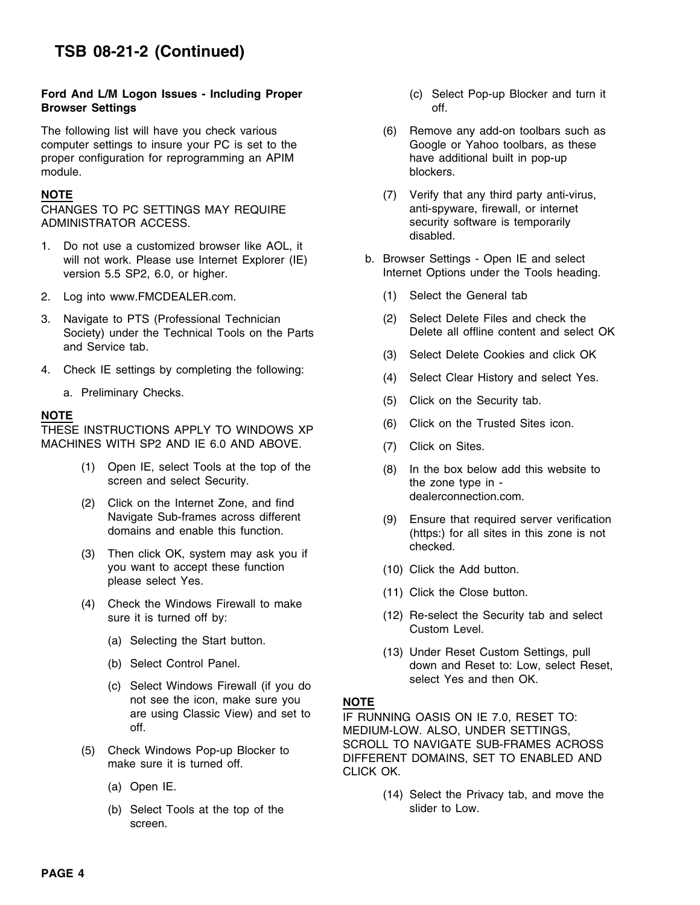### **Ford And L/M Logon Issues - Including Proper** (c) Select Pop-up Blocker and turn it **Browser Settings**  off.

The following list will have you check various (6) Remove any add-on toolbars such as<br>
computer settings to insure your PC is set to the Google or Yahoo toolbars, as these computer settings to insure your PC is set to the Google or Yahoo toolbars, as the Google or Yahoo toolbars, as these proper configuration for reprogramming an APIM proper configuration for reprogramming an APIM module. **blockers.** blockers.

CHANGES TO PC SETTINGS MAY REQUIRE **Anti-Spyware, firewall, or internet** ADMINISTRATOR ACCESS. Security software is temporarily

- 1. Do not use a customized browser like AOL, it will not work. Please use Internet Explorer (IE) b. Browser Settings - Open IE and select version 5.5 SP2, 6.0, or higher. Internet Options under the Tools heading.
- 2. Log into www.FMCDEALER.com. (1) Select the General tab
- 3. Navigate to PTS (Professional Technician (2) Select Delete Files and check the<br>Society) under the Technical Tools on the Parts Delete all offline content and select OK Society) under the Technical Tools on the Parts and Service tab.
- 4. Check IE settings by completing the following: (4) Select Clear History and select Yes.
	-

**NOTE** (6) Click on the Trusted Sites icon. THESE INSTRUCTIONS APPLY TO WINDOWS XP MACHINES WITH SP2 AND IE 6.0 AND ABOVE. (7) Click on Sites.

- (1) Open IE, select Tools at the top of the (8) In the box below add this website to screen and select Security. The zone type in -
- dealerconnection.com. (2) Click on the Internet Zone, and find
- checked. (3) Then click OK, system may ask you if you want to accept these function (10) Click the Add button. please select Yes.
- (4) Check the Windows Firewall to make
	- (a) Selecting the Start button.
	-
	- not see the icon, make sure you **NOTE**
- -
	- (b) Select Tools at the top of the slider to Low. screen.
- 
- 
- **NOTE 1989 1999 1999 1999 1999 1999 1999 1999 1999 1999 1999 1999 1999 1999 1999 1999 1999 1999 1999 1999 1999 1999 1999 1999 1999 1999 1999 1999 1999 1999 1999** disabled.
	- -
		-
		- (3) Select Delete Cookies and click OK
		-
	- a. Preliminary Checks.<br>
	(5) Click on the Security tab.
		-
		-
		-
		- Navigate Sub-frames across different (9) Ensure that required server verification<br>domains and enable this function. (https:) for all sites in this zone is not (https:) for all sites in this zone is not
			-
			- (11) Click the Close button.
		- sure it is turned off by: (12) Re-select the Security tab and select Custom Level.
		- (13) Under Reset Custom Settings, pull (b) Select Control Panel. **down and Reset to: Low, select Reset,** select Yes and then OK. (c) Select Windows Firewall (if you do

are using Classic View) and set to  $\overline{IF}$  RUNNING OASIS ON IE 7.0, RESET TO:<br>off. MEDIUM LOW ALSO UNDER SETTINGS MEDIUM-LOW. ALSO, UNDER SETTINGS, (5) Check Windows Pop-up Blocker to SCROLL TO NAVIGATE SUB-FRAMES ACROSS<br>
make sure it is turned off. CLICK OK.<br>
CLICK OK.

(a) Open IE. (14) Select the Privacy tab, and move the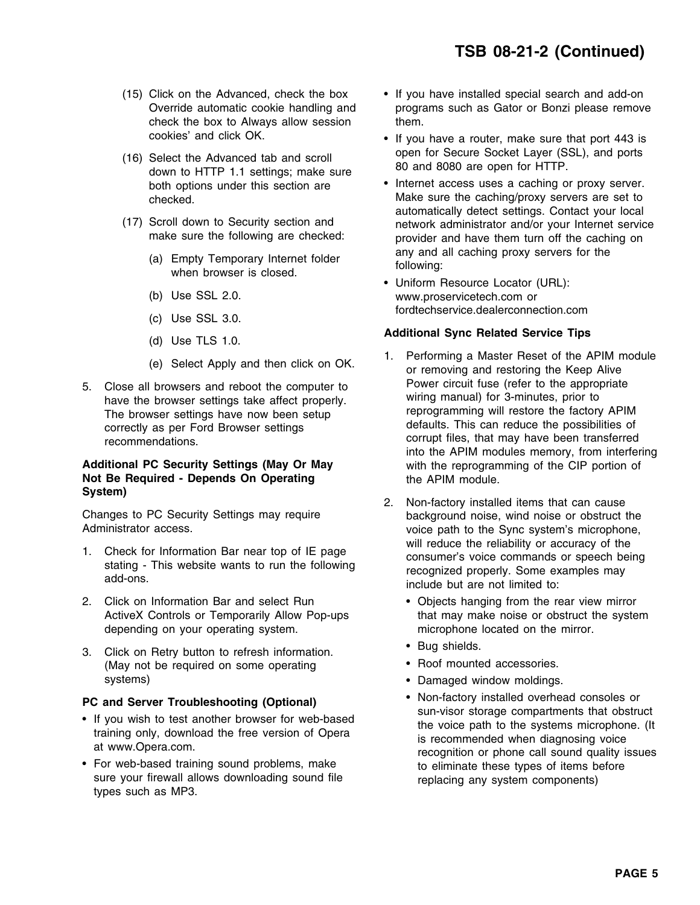- check the box to Always allow session them. cookies' and click OK. •
- (16) Select the Advanced tab and scroll open for Secure Socket Layer (SSL), and ports down to HTTP 1.1 settings; make sure both options under this section are **a** thermet access uses a caching or proxy server.
- -
	-
	-
	-
	-
- 

# Not Be Required - Depends On Operating **the APIM module. System)** 2. Non-factory installed items that can cause

- 
- 2. Click on Information Bar and select Run Objects hanging from the rear view mirror ActiveX Controls or Temporarily Allow Pop-ups that may make noise or obstruct the system depending on your operating system. microphone located on the mirror.
- 3. Click on Retry button to refresh information. (May not be required on some operating systems) **•** Damaged window moldings.

- 
- For web-based training sound problems, make the eliminate these types of items before sure your firewall allows downloading sound file replacing any system components) types such as MP3.
- (15) Click on the Advanced, check the box If you have installed special search and add-on Override automatic cookie handling and programs such as Gator or Bonzi please remove
	- If you have a router, make sure that port 443 is
- Internet access uses a caching or proxy server. checked. Make sure the caching/proxy servers are set to automatically detect settings. Contact your local (17) Scroll down to Security section and network administrator and/or your Internet service<br>make sure the following are checked: network administrator and/or your Internet service provider and have them turn off the caching on any and all caching proxy servers for the (a) Empty Temporary Internet folder following: when browser is closed.
	- Uniform Resource Locator (URL): (b) Use SSL 2.0. www.proservicetech.com or fordtechservice.dealerconnection.com (c) Use SSL 3.0.

# **Additional Sync Related Service Tips** (d) Use TLS 1.0.

- 1. Performing a Master Reset of the APIM module (e) Select Apply and then click on OK. or removing and restoring the Keep Alive For Close all browsers and reboot the computer to **Power circuit fuse (refer to the appropriate** have the browser settings take affect properly.<br>The browser settings have now been setup reprogramming will restore the facto The browser settings have now been setup reprogramming will restore the factory APIM<br>correctly as per Ford Browser settings of and defaults. This can reduce the possibilities of correctly as per Ford Browser settings defaults. This can reduce the possibilities of correctly as per Ford Browser settings corrupt files, that may have been transferred into the APIM modules memory, from interfering Additional PC Security Settings (May Or May with the reprogramming of the CIP portion of
- Changes to PC Security Settings may require<br>
Administrator access.<br>
Administrator access.<br>
Administrator access. voice path to the Sync system's microphone, 1. Check for Information Bar near top of IE page<br>stating - This website wants to run the following<br>add-ons.<br>add-ons.<br>add-ons.<br>add-ons.
	-
	- Bug shields.
	- Roof mounted accessories.
	-
- Non-factory installed overhead consoles or Non-factory installed overhead consoles or **PC and Server Troubleshooting (Optional)** sun-visor storage compartments that obstruct •training only, download the free version of Opera<br>at www.Opera.com.<br>recognition or phone call sound quality issues